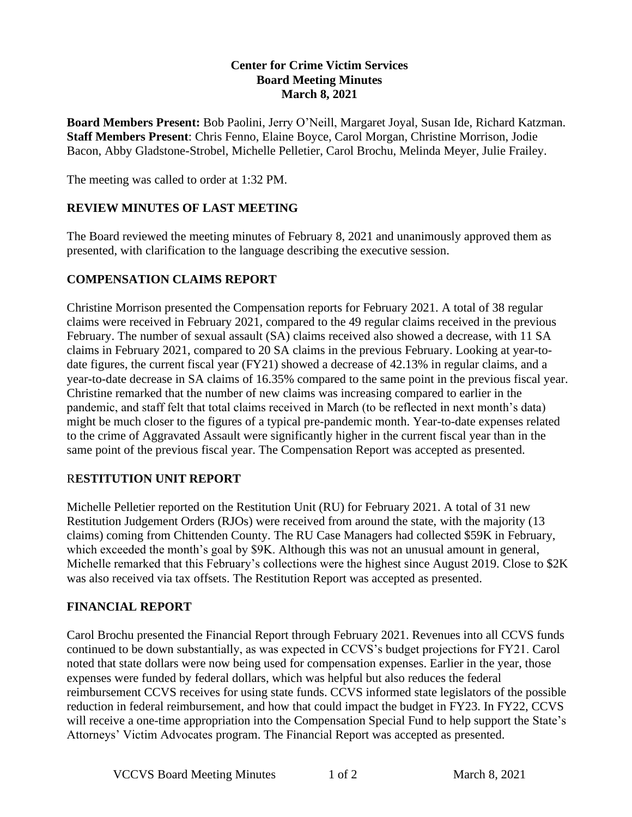## **Center for Crime Victim Services Board Meeting Minutes March 8, 2021**

**Board Members Present:** Bob Paolini, Jerry O'Neill, Margaret Joyal, Susan Ide, Richard Katzman. **Staff Members Present**: Chris Fenno, Elaine Boyce, Carol Morgan, Christine Morrison, Jodie Bacon, Abby Gladstone-Strobel, Michelle Pelletier, Carol Brochu, Melinda Meyer, Julie Frailey.

The meeting was called to order at 1:32 PM.

# **REVIEW MINUTES OF LAST MEETING**

The Board reviewed the meeting minutes of February 8, 2021 and unanimously approved them as presented, with clarification to the language describing the executive session.

# **COMPENSATION CLAIMS REPORT**

Christine Morrison presented the Compensation reports for February 2021. A total of 38 regular claims were received in February 2021, compared to the 49 regular claims received in the previous February. The number of sexual assault (SA) claims received also showed a decrease, with 11 SA claims in February 2021, compared to 20 SA claims in the previous February. Looking at year-todate figures, the current fiscal year (FY21) showed a decrease of 42.13% in regular claims, and a year-to-date decrease in SA claims of 16.35% compared to the same point in the previous fiscal year. Christine remarked that the number of new claims was increasing compared to earlier in the pandemic, and staff felt that total claims received in March (to be reflected in next month's data) might be much closer to the figures of a typical pre-pandemic month. Year-to-date expenses related to the crime of Aggravated Assault were significantly higher in the current fiscal year than in the same point of the previous fiscal year. The Compensation Report was accepted as presented.

#### R**ESTITUTION UNIT REPORT**

Michelle Pelletier reported on the Restitution Unit (RU) for February 2021. A total of 31 new Restitution Judgement Orders (RJOs) were received from around the state, with the majority (13 claims) coming from Chittenden County. The RU Case Managers had collected \$59K in February, which exceeded the month's goal by \$9K. Although this was not an unusual amount in general, Michelle remarked that this February's collections were the highest since August 2019. Close to \$2K was also received via tax offsets. The Restitution Report was accepted as presented.

#### **FINANCIAL REPORT**

Carol Brochu presented the Financial Report through February 2021. Revenues into all CCVS funds continued to be down substantially, as was expected in CCVS's budget projections for FY21. Carol noted that state dollars were now being used for compensation expenses. Earlier in the year, those expenses were funded by federal dollars, which was helpful but also reduces the federal reimbursement CCVS receives for using state funds. CCVS informed state legislators of the possible reduction in federal reimbursement, and how that could impact the budget in FY23. In FY22, CCVS will receive a one-time appropriation into the Compensation Special Fund to help support the State's Attorneys' Victim Advocates program. The Financial Report was accepted as presented.